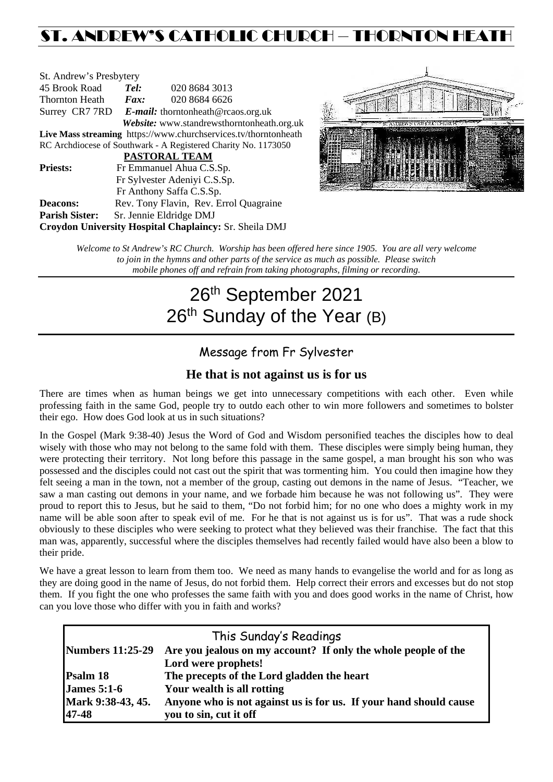# ST. ANDREW'S CATHOLIC CHURCH – THORNTON HEATH

| St. Andrew's Presbytery                                         |                                                   |                                            |  |  |  |  |
|-----------------------------------------------------------------|---------------------------------------------------|--------------------------------------------|--|--|--|--|
| 45 Brook Road                                                   | Tel:                                              | 020 8684 3013                              |  |  |  |  |
| Thornton Heath                                                  | $\boldsymbol{F}$ <i>ax</i> :                      | 020 8684 6626                              |  |  |  |  |
|                                                                 | Surrey CR7 7RD E-mail: thorntonheath@rcaos.org.uk |                                            |  |  |  |  |
|                                                                 |                                                   | Website: www.standrewsthorntonheath.org.uk |  |  |  |  |
| Live Mass streaming https://www.churchservices.tv/thorntonheath |                                                   |                                            |  |  |  |  |
| RC Archdiocese of Southwark - A Registered Charity No. 1173050  |                                                   |                                            |  |  |  |  |
| <b>PASTORAL TEAM</b>                                            |                                                   |                                            |  |  |  |  |
| <b>Priests:</b>                                                 | Fr Emmanuel Ahua C.S.Sp.                          |                                            |  |  |  |  |
|                                                                 | Fr Sylvester Adeniyi C.S.Sp.                      |                                            |  |  |  |  |
|                                                                 |                                                   | Fr Anthony Saffa C.S.Sp.                   |  |  |  |  |
| <b>Deacons:</b>                                                 |                                                   | Rev. Tony Flavin, Rev. Errol Quagraine     |  |  |  |  |
| <b>Parish Sister:</b>                                           |                                                   | Sr. Jennie Eldridge DMJ                    |  |  |  |  |
| Croydon University Hospital Chaplaincy: Sr. Sheila DMJ          |                                                   |                                            |  |  |  |  |



*Welcome to St Andrew's RC Church. Worship has been offered here since 1905. You are all very welcome to join in the hymns and other parts of the service as much as possible. Please switch mobile phones off and refrain from taking photographs, filming or recording.*

# 26<sup>th</sup> September 2021 26<sup>th</sup> Sunday of the Year (B)

## Message from Fr Sylvester

### **He that is not against us is for us**

There are times when as human beings we get into unnecessary competitions with each other. Even while professing faith in the same God, people try to outdo each other to win more followers and sometimes to bolster their ego. How does God look at us in such situations?

In the Gospel (Mark 9:38-40) Jesus the Word of God and Wisdom personified teaches the disciples how to deal wisely with those who may not belong to the same fold with them. These disciples were simply being human, they were protecting their territory. Not long before this passage in the same gospel, a man brought his son who was possessed and the disciples could not cast out the spirit that was tormenting him. You could then imagine how they felt seeing a man in the town, not a member of the group, casting out demons in the name of Jesus. "Teacher, we saw a man casting out demons in your name, and we forbade him because he was not following us". They were proud to report this to Jesus, but he said to them, "Do not forbid him; for no one who does a mighty work in my name will be able soon after to speak evil of me. For he that is not against us is for us". That was a rude shock obviously to these disciples who were seeking to protect what they believed was their franchise. The fact that this man was, apparently, successful where the disciples themselves had recently failed would have also been a blow to their pride.

We have a great lesson to learn from them too. We need as many hands to evangelise the world and for as long as they are doing good in the name of Jesus, do not forbid them. Help correct their errors and excesses but do not stop them. If you fight the one who professes the same faith with you and does good works in the name of Christ, how can you love those who differ with you in faith and works?

|                         | This Sunday's Readings                                            |  |  |
|-------------------------|-------------------------------------------------------------------|--|--|
| <b>Numbers 11:25-29</b> | Are you jealous on my account? If only the whole people of the    |  |  |
|                         | Lord were prophets!                                               |  |  |
| Psalm 18                | The precepts of the Lord gladden the heart                        |  |  |
| <b>James 5:1-6</b>      | Your wealth is all rotting                                        |  |  |
| Mark 9:38-43, 45.       | Anyone who is not against us is for us. If your hand should cause |  |  |
| 47-48                   | you to sin, cut it off                                            |  |  |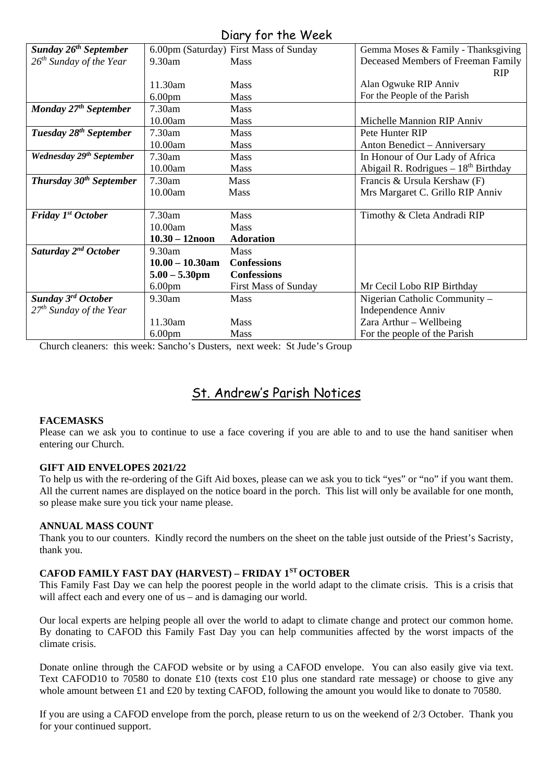| $U = V + U - U + V - U - V$          |                    |                                        |                                       |  |  |
|--------------------------------------|--------------------|----------------------------------------|---------------------------------------|--|--|
| Sunday 26 <sup>th</sup> September    |                    | 6.00pm (Saturday) First Mass of Sunday | Gemma Moses & Family - Thanksgiving   |  |  |
| $26^{th}$ Sunday of the Year         | 9.30am             | Mass                                   | Deceased Members of Freeman Family    |  |  |
|                                      |                    |                                        | <b>RIP</b>                            |  |  |
|                                      | 11.30am            | <b>Mass</b>                            | Alan Ogwuke RIP Anniv                 |  |  |
|                                      | 6.00 <sub>pm</sub> | <b>Mass</b>                            | For the People of the Parish          |  |  |
| Monday 27 <sup>th</sup> September    | 7.30am             | <b>Mass</b>                            |                                       |  |  |
|                                      | 10.00am            | <b>Mass</b>                            | Michelle Mannion RIP Anniv            |  |  |
| Tuesday 28 <sup>th</sup> September   | 7.30am             | <b>Mass</b>                            | Pete Hunter RIP                       |  |  |
|                                      | 10.00am            | Mass                                   | Anton Benedict - Anniversary          |  |  |
| Wednesday 29 <sup>th</sup> September | 7.30am             | <b>Mass</b>                            | In Honour of Our Lady of Africa       |  |  |
|                                      | 10.00am            | <b>Mass</b>                            | Abigail R. Rodrigues $-18th$ Birthday |  |  |
| Thursday $30th$ September            | 7.30am             | Mass                                   | Francis & Ursula Kershaw (F)          |  |  |
|                                      | 10.00am            | <b>Mass</b>                            | Mrs Margaret C. Grillo RIP Anniv      |  |  |
|                                      |                    |                                        |                                       |  |  |
| Friday 1 <sup>st</sup> October       | 7.30am             | <b>Mass</b>                            | Timothy & Cleta Andradi RIP           |  |  |
|                                      | 10.00am            | Mass                                   |                                       |  |  |
|                                      | $10.30 - 12$ noon  | <b>Adoration</b>                       |                                       |  |  |
| Saturday 2 <sup>nd</sup> October     | 9.30am             | <b>Mass</b>                            |                                       |  |  |
|                                      | $10.00 - 10.30$ am | <b>Confessions</b>                     |                                       |  |  |
|                                      | $5.00 - 5.30$ pm   | <b>Confessions</b>                     |                                       |  |  |
|                                      | 6.00 <sub>pm</sub> | <b>First Mass of Sunday</b>            | Mr Cecil Lobo RIP Birthday            |  |  |
| Sunday 3 <sup>rd</sup> October       | 9.30am             | Mass                                   | Nigerian Catholic Community –         |  |  |
| $27th$ Sunday of the Year            |                    |                                        | Independence Anniv                    |  |  |
|                                      | 11.30am            | Mass                                   | Zara Arthur - Wellbeing               |  |  |
|                                      | 6.00 <sub>pm</sub> | <b>Mass</b>                            | For the people of the Parish          |  |  |

Church cleaners: this week: Sancho's Dusters, next week: St Jude's Group

# St. Andrew's Parish Notices

#### **FACEMASKS**

Please can we ask you to continue to use a face covering if you are able to and to use the hand sanitiser when entering our Church.

#### **GIFT AID ENVELOPES 2021/22**

To help us with the re-ordering of the Gift Aid boxes, please can we ask you to tick "yes" or "no" if you want them. All the current names are displayed on the notice board in the porch. This list will only be available for one month, so please make sure you tick your name please.

#### **ANNUAL MASS COUNT**

Thank you to our counters. Kindly record the numbers on the sheet on the table just outside of the Priest's Sacristy, thank you.

#### **CAFOD FAMILY FAST DAY (HARVEST) – FRIDAY 1ST OCTOBER**

This Family Fast Day we can help the poorest people in the world adapt to the climate crisis. This is a crisis that will affect each and every one of us – and is damaging our world.

Our local experts are helping people all over the world to adapt to climate change and protect our common home. By donating to CAFOD this Family Fast Day you can help communities affected by the worst impacts of the climate crisis.

Donate online through the CAFOD website or by using a CAFOD envelope. You can also easily give via text. Text CAFOD10 to 70580 to donate £10 (texts cost £10 plus one standard rate message) or choose to give any whole amount between £1 and £20 by texting CAFOD, following the amount you would like to donate to 70580.

If you are using a CAFOD envelope from the porch, please return to us on the weekend of 2/3 October. Thank you for your continued support.

## Diary for the Week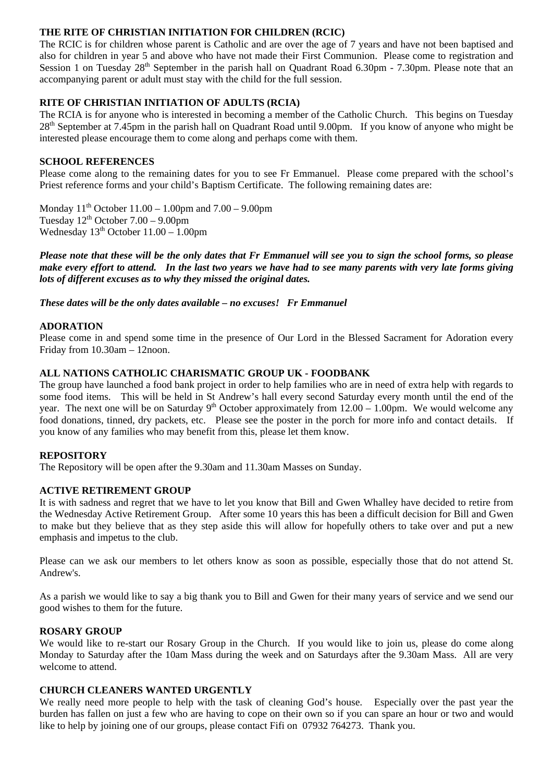#### **THE RITE OF CHRISTIAN INITIATION FOR CHILDREN (RCIC)**

The RCIC is for children whose parent is Catholic and are over the age of 7 years and have not been baptised and also for children in year 5 and above who have not made their First Communion. Please come to registration and Session 1 on Tuesday 28<sup>th</sup> September in the parish hall on Quadrant Road 6.30pm - 7.30pm. Please note that an accompanying parent or adult must stay with the child for the full session.

#### **RITE OF CHRISTIAN INITIATION OF ADULTS (RCIA)**

The RCIA is for anyone who is interested in becoming a member of the Catholic Church. This begins on Tuesday 28th September at 7.45pm in the parish hall on Quadrant Road until 9.00pm. If you know of anyone who might be interested please encourage them to come along and perhaps come with them.

#### **SCHOOL REFERENCES**

Please come along to the remaining dates for you to see Fr Emmanuel. Please come prepared with the school's Priest reference forms and your child's Baptism Certificate. The following remaining dates are:

Monday  $11^{th}$  October  $11.00 - 1.00$  pm and  $7.00 - 9.00$  pm Tuesday  $12^{th}$  October  $7.00 - 9.00$ pm Wednesday  $13<sup>th</sup>$  October  $11.00 - 1.00$ pm

*Please note that these will be the only dates that Fr Emmanuel will see you to sign the school forms, so please make every effort to attend. In the last two years we have had to see many parents with very late forms giving lots of different excuses as to why they missed the original dates.* 

*These dates will be the only dates available – no excuses! Fr Emmanuel*

#### **ADORATION**

Please come in and spend some time in the presence of Our Lord in the Blessed Sacrament for Adoration every Friday from 10.30am – 12noon.

#### **ALL NATIONS CATHOLIC CHARISMATIC GROUP UK - FOODBANK**

The group have launched a food bank project in order to help families who are in need of extra help with regards to some food items. This will be held in St Andrew's hall every second Saturday every month until the end of the year. The next one will be on Saturday 9<sup>th</sup> October approximately from  $12.00 - 1.00$ pm. We would welcome any food donations, tinned, dry packets, etc. Please see the poster in the porch for more info and contact details. If you know of any families who may benefit from this, please let them know.

#### **REPOSITORY**

The Repository will be open after the 9.30am and 11.30am Masses on Sunday.

#### **ACTIVE RETIREMENT GROUP**

It is with sadness and regret that we have to let you know that Bill and Gwen Whalley have decided to retire from the Wednesday Active Retirement Group. After some 10 years this has been a difficult decision for Bill and Gwen to make but they believe that as they step aside this will allow for hopefully others to take over and put a new emphasis and impetus to the club.

Please can we ask our members to let others know as soon as possible, especially those that do not attend St. Andrew's.

As a parish we would like to say a big thank you to Bill and Gwen for their many years of service and we send our good wishes to them for the future.

#### **ROSARY GROUP**

We would like to re-start our Rosary Group in the Church. If you would like to join us, please do come along Monday to Saturday after the 10am Mass during the week and on Saturdays after the 9.30am Mass. All are very welcome to attend.

#### **CHURCH CLEANERS WANTED URGENTLY**

We really need more people to help with the task of cleaning God's house. Especially over the past year the burden has fallen on just a few who are having to cope on their own so if you can spare an hour or two and would like to help by joining one of our groups, please contact Fifi on 07932 764273. Thank you.